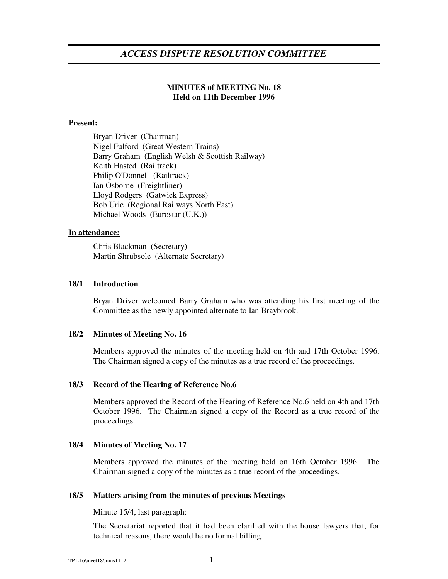# **MINUTES of MEETING No. 18 Held on 11th December 1996**

## **Present:**

Bryan Driver (Chairman) Nigel Fulford (Great Western Trains) Barry Graham (English Welsh & Scottish Railway) Keith Hasted (Railtrack) Philip O'Donnell (Railtrack) Ian Osborne (Freightliner) Lloyd Rodgers (Gatwick Express) Bob Urie (Regional Railways North East) Michael Woods (Eurostar (U.K.))

## **In attendance:**

Chris Blackman (Secretary) Martin Shrubsole (Alternate Secretary)

## **18/1 Introduction**

Bryan Driver welcomed Barry Graham who was attending his first meeting of the Committee as the newly appointed alternate to Ian Braybrook.

## **18/2 Minutes of Meeting No. 16**

Members approved the minutes of the meeting held on 4th and 17th October 1996. The Chairman signed a copy of the minutes as a true record of the proceedings.

## **18/3 Record of the Hearing of Reference No.6**

Members approved the Record of the Hearing of Reference No.6 held on 4th and 17th October 1996. The Chairman signed a copy of the Record as a true record of the proceedings.

## **18/4 Minutes of Meeting No. 17**

Members approved the minutes of the meeting held on 16th October 1996. The Chairman signed a copy of the minutes as a true record of the proceedings.

## **18/5 Matters arising from the minutes of previous Meetings**

## Minute 15/4, last paragraph:

The Secretariat reported that it had been clarified with the house lawyers that, for technical reasons, there would be no formal billing.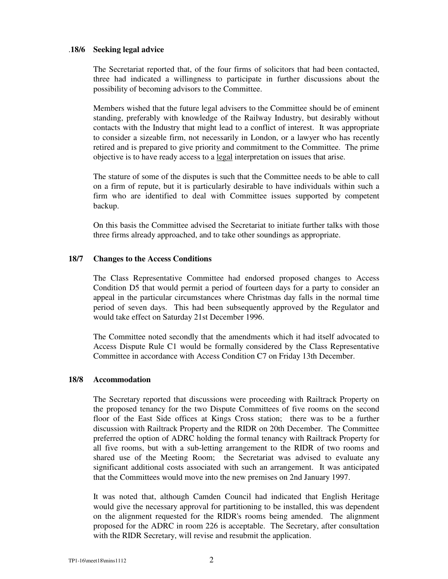## .**18/6 Seeking legal advice**

The Secretariat reported that, of the four firms of solicitors that had been contacted, three had indicated a willingness to participate in further discussions about the possibility of becoming advisors to the Committee.

Members wished that the future legal advisers to the Committee should be of eminent standing, preferably with knowledge of the Railway Industry, but desirably without contacts with the Industry that might lead to a conflict of interest. It was appropriate to consider a sizeable firm, not necessarily in London, or a lawyer who has recently retired and is prepared to give priority and commitment to the Committee. The prime objective is to have ready access to a legal interpretation on issues that arise.

The stature of some of the disputes is such that the Committee needs to be able to call on a firm of repute, but it is particularly desirable to have individuals within such a firm who are identified to deal with Committee issues supported by competent backup.

On this basis the Committee advised the Secretariat to initiate further talks with those three firms already approached, and to take other soundings as appropriate.

### **18/7 Changes to the Access Conditions**

The Class Representative Committee had endorsed proposed changes to Access Condition D5 that would permit a period of fourteen days for a party to consider an appeal in the particular circumstances where Christmas day falls in the normal time period of seven days. This had been subsequently approved by the Regulator and would take effect on Saturday 21st December 1996.

The Committee noted secondly that the amendments which it had itself advocated to Access Dispute Rule C1 would be formally considered by the Class Representative Committee in accordance with Access Condition C7 on Friday 13th December.

#### **18/8 Accommodation**

The Secretary reported that discussions were proceeding with Railtrack Property on the proposed tenancy for the two Dispute Committees of five rooms on the second floor of the East Side offices at Kings Cross station; there was to be a further discussion with Railtrack Property and the RIDR on 20th December. The Committee preferred the option of ADRC holding the formal tenancy with Railtrack Property for all five rooms, but with a sub-letting arrangement to the RIDR of two rooms and shared use of the Meeting Room; the Secretariat was advised to evaluate any significant additional costs associated with such an arrangement. It was anticipated that the Committees would move into the new premises on 2nd January 1997.

It was noted that, although Camden Council had indicated that English Heritage would give the necessary approval for partitioning to be installed, this was dependent on the alignment requested for the RIDR's rooms being amended. The alignment proposed for the ADRC in room 226 is acceptable. The Secretary, after consultation with the RIDR Secretary, will revise and resubmit the application.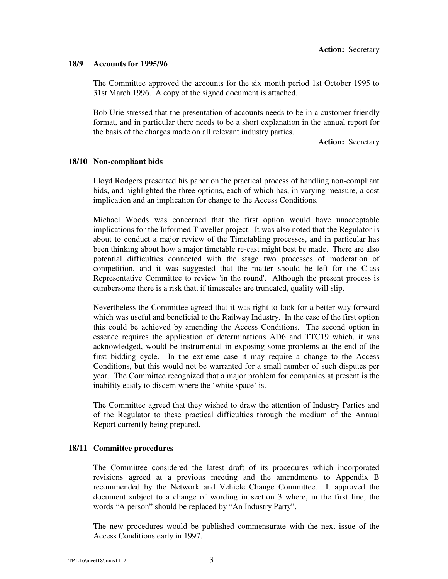### **18/9 Accounts for 1995/96**

The Committee approved the accounts for the six month period 1st October 1995 to 31st March 1996. A copy of the signed document is attached.

Bob Urie stressed that the presentation of accounts needs to be in a customer-friendly format, and in particular there needs to be a short explanation in the annual report for the basis of the charges made on all relevant industry parties.

**Action:** Secretary

### **18/10 Non-compliant bids**

Lloyd Rodgers presented his paper on the practical process of handling non-compliant bids, and highlighted the three options, each of which has, in varying measure, a cost implication and an implication for change to the Access Conditions.

Michael Woods was concerned that the first option would have unacceptable implications for the Informed Traveller project. It was also noted that the Regulator is about to conduct a major review of the Timetabling processes, and in particular has been thinking about how a major timetable re-cast might best be made. There are also potential difficulties connected with the stage two processes of moderation of competition, and it was suggested that the matter should be left for the Class Representative Committee to review 'in the round'. Although the present process is cumbersome there is a risk that, if timescales are truncated, quality will slip.

Nevertheless the Committee agreed that it was right to look for a better way forward which was useful and beneficial to the Railway Industry. In the case of the first option this could be achieved by amending the Access Conditions. The second option in essence requires the application of determinations AD6 and TTC19 which, it was acknowledged, would be instrumental in exposing some problems at the end of the first bidding cycle. In the extreme case it may require a change to the Access Conditions, but this would not be warranted for a small number of such disputes per year. The Committee recognized that a major problem for companies at present is the inability easily to discern where the 'white space' is.

The Committee agreed that they wished to draw the attention of Industry Parties and of the Regulator to these practical difficulties through the medium of the Annual Report currently being prepared.

## **18/11 Committee procedures**

The Committee considered the latest draft of its procedures which incorporated revisions agreed at a previous meeting and the amendments to Appendix B recommended by the Network and Vehicle Change Committee. It approved the document subject to a change of wording in section 3 where, in the first line, the words "A person" should be replaced by "An Industry Party".

The new procedures would be published commensurate with the next issue of the Access Conditions early in 1997.